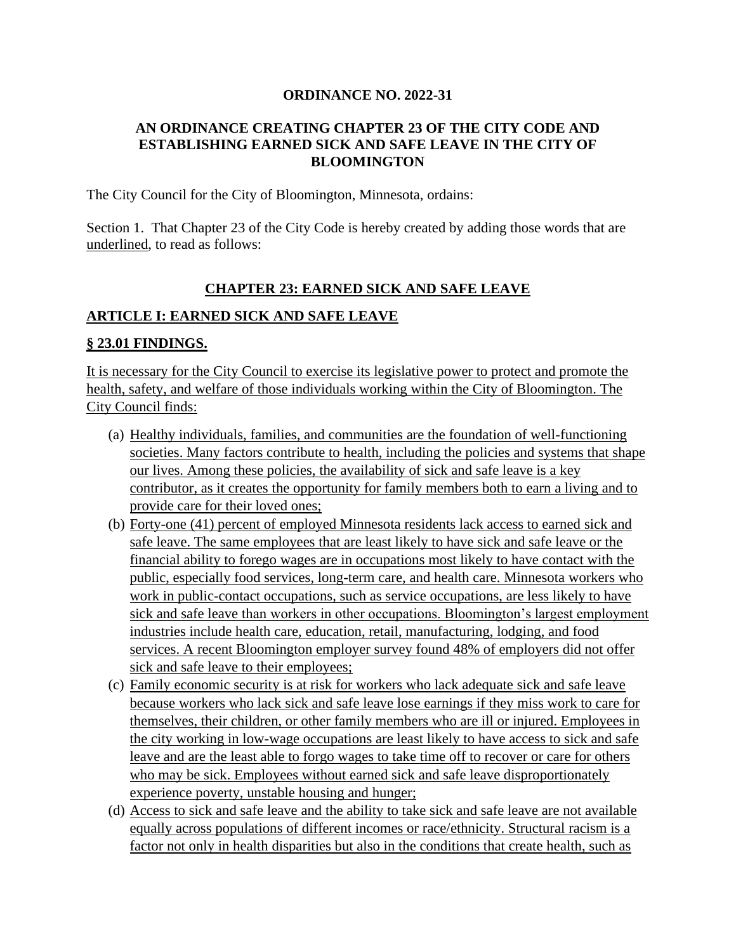#### **ORDINANCE NO. 2022-31**

#### **AN ORDINANCE CREATING CHAPTER 23 OF THE CITY CODE AND ESTABLISHING EARNED SICK AND SAFE LEAVE IN THE CITY OF BLOOMINGTON**

The City Council for the City of Bloomington, Minnesota, ordains:

Section 1. That Chapter 23 of the City Code is hereby created by adding those words that are underlined, to read as follows:

#### **CHAPTER 23: EARNED SICK AND SAFE LEAVE**

#### **ARTICLE I: EARNED SICK AND SAFE LEAVE**

#### **§ 23.01 FINDINGS.**

It is necessary for the City Council to exercise its legislative power to protect and promote the health, safety, and welfare of those individuals working within the City of Bloomington. The City Council finds:

- (a) Healthy individuals, families, and communities are the foundation of well-functioning societies. Many factors contribute to health, including the policies and systems that shape our lives. Among these policies, the availability of sick and safe leave is a key contributor, as it creates the opportunity for family members both to earn a living and to provide care for their loved ones;
- (b) Forty-one (41) percent of employed Minnesota residents lack access to earned sick and safe leave. The same employees that are least likely to have sick and safe leave or the financial ability to forego wages are in occupations most likely to have contact with the public, especially food services, long-term care, and health care. Minnesota workers who work in public-contact occupations, such as service occupations, are less likely to have sick and safe leave than workers in other occupations. Bloomington's largest employment industries include health care, education, retail, manufacturing, lodging, and food services. A recent Bloomington employer survey found 48% of employers did not offer sick and safe leave to their employees;
- (c) Family economic security is at risk for workers who lack adequate sick and safe leave because workers who lack sick and safe leave lose earnings if they miss work to care for themselves, their children, or other family members who are ill or injured. Employees in the city working in low-wage occupations are least likely to have access to sick and safe leave and are the least able to forgo wages to take time off to recover or care for others who may be sick. Employees without earned sick and safe leave disproportionately experience poverty, unstable housing and hunger;
- (d) Access to sick and safe leave and the ability to take sick and safe leave are not available equally across populations of different incomes or race/ethnicity. Structural racism is a factor not only in health disparities but also in the conditions that create health, such as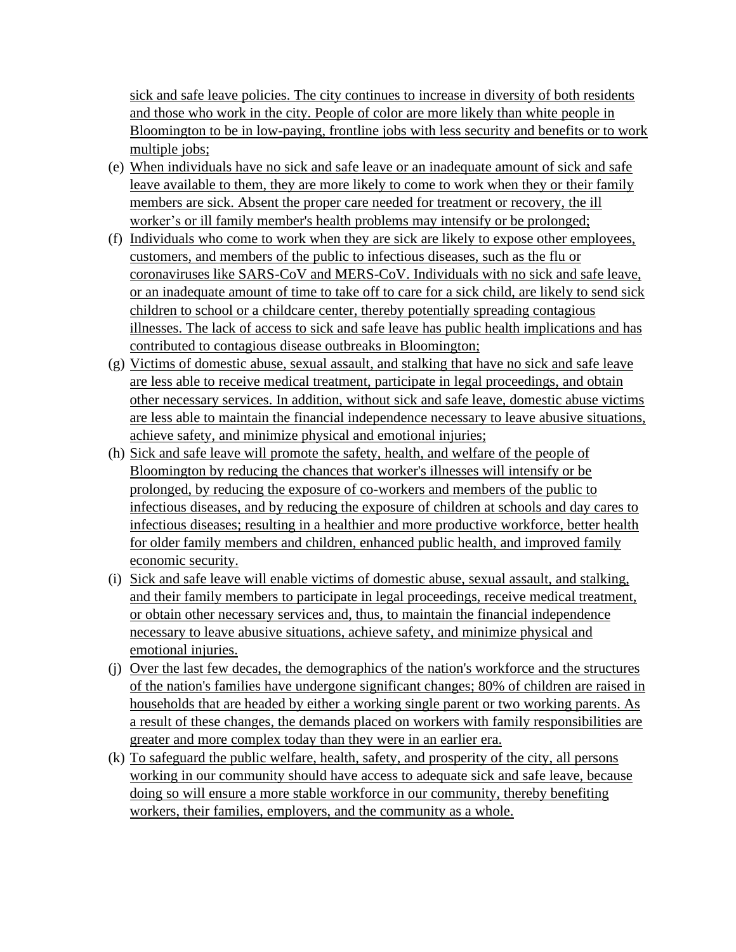sick and safe leave policies. The city continues to increase in diversity of both residents and those who work in the city. People of color are more likely than white people in Bloomington to be in low-paying, frontline jobs with less security and benefits or to work multiple jobs;

- (e) When individuals have no sick and safe leave or an inadequate amount of sick and safe leave available to them, they are more likely to come to work when they or their family members are sick. Absent the proper care needed for treatment or recovery, the ill worker's or ill family member's health problems may intensify or be prolonged;
- (f) Individuals who come to work when they are sick are likely to expose other employees, customers, and members of the public to infectious diseases, such as the flu or coronaviruses like SARS-CoV and MERS-CoV. Individuals with no sick and safe leave, or an inadequate amount of time to take off to care for a sick child, are likely to send sick children to school or a childcare center, thereby potentially spreading contagious illnesses. The lack of access to sick and safe leave has public health implications and has contributed to contagious disease outbreaks in Bloomington;
- (g) Victims of domestic abuse, sexual assault, and stalking that have no sick and safe leave are less able to receive medical treatment, participate in legal proceedings, and obtain other necessary services. In addition, without sick and safe leave, domestic abuse victims are less able to maintain the financial independence necessary to leave abusive situations, achieve safety, and minimize physical and emotional injuries;
- (h) Sick and safe leave will promote the safety, health, and welfare of the people of Bloomington by reducing the chances that worker's illnesses will intensify or be prolonged, by reducing the exposure of co-workers and members of the public to infectious diseases, and by reducing the exposure of children at schools and day cares to infectious diseases; resulting in a healthier and more productive workforce, better health for older family members and children, enhanced public health, and improved family economic security.
- (i) Sick and safe leave will enable victims of domestic abuse, sexual assault, and stalking, and their family members to participate in legal proceedings, receive medical treatment, or obtain other necessary services and, thus, to maintain the financial independence necessary to leave abusive situations, achieve safety, and minimize physical and emotional injuries.
- (j) Over the last few decades, the demographics of the nation's workforce and the structures of the nation's families have undergone significant changes; 80% of children are raised in households that are headed by either a working single parent or two working parents. As a result of these changes, the demands placed on workers with family responsibilities are greater and more complex today than they were in an earlier era.
- (k) To safeguard the public welfare, health, safety, and prosperity of the city, all persons working in our community should have access to adequate sick and safe leave, because doing so will ensure a more stable workforce in our community, thereby benefiting workers, their families, employers, and the community as a whole.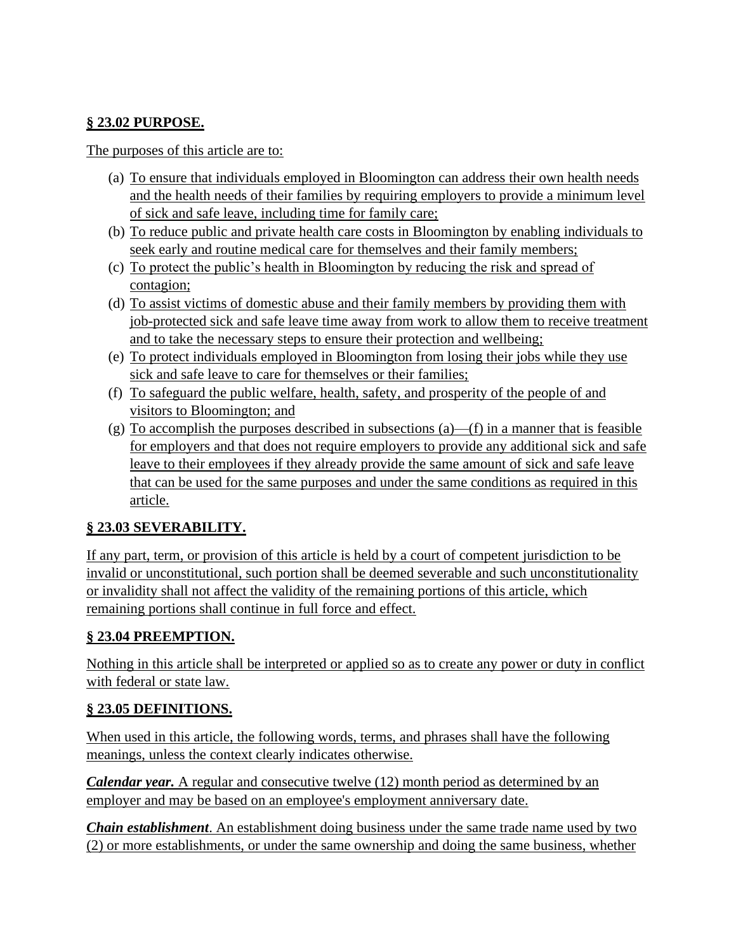### **§ 23.02 PURPOSE.**

The purposes of this article are to:

- (a) To ensure that individuals employed in Bloomington can address their own health needs and the health needs of their families by requiring employers to provide a minimum level of sick and safe leave, including time for family care;
- (b) To reduce public and private health care costs in Bloomington by enabling individuals to seek early and routine medical care for themselves and their family members;
- (c) To protect the public's health in Bloomington by reducing the risk and spread of contagion;
- (d) To assist victims of domestic abuse and their family members by providing them with job-protected sick and safe leave time away from work to allow them to receive treatment and to take the necessary steps to ensure their protection and wellbeing;
- (e) To protect individuals employed in Bloomington from losing their jobs while they use sick and safe leave to care for themselves or their families;
- (f) To safeguard the public welfare, health, safety, and prosperity of the people of and visitors to Bloomington; and
- (g) To accomplish the purposes described in subsections  $(a)$ —(f) in a manner that is feasible for employers and that does not require employers to provide any additional sick and safe leave to their employees if they already provide the same amount of sick and safe leave that can be used for the same purposes and under the same conditions as required in this article.

## **§ 23.03 SEVERABILITY.**

If any part, term, or provision of this article is held by a court of competent jurisdiction to be invalid or unconstitutional, such portion shall be deemed severable and such unconstitutionality or invalidity shall not affect the validity of the remaining portions of this article, which remaining portions shall continue in full force and effect.

### **§ 23.04 PREEMPTION.**

Nothing in this article shall be interpreted or applied so as to create any power or duty in conflict with federal or state law.

### **§ 23.05 DEFINITIONS.**

When used in this article, the following words, terms, and phrases shall have the following meanings, unless the context clearly indicates otherwise.

*Calendar year.* A regular and consecutive twelve (12) month period as determined by an employer and may be based on an employee's employment anniversary date.

*Chain establishment*. An establishment doing business under the same trade name used by two (2) or more establishments, or under the same ownership and doing the same business, whether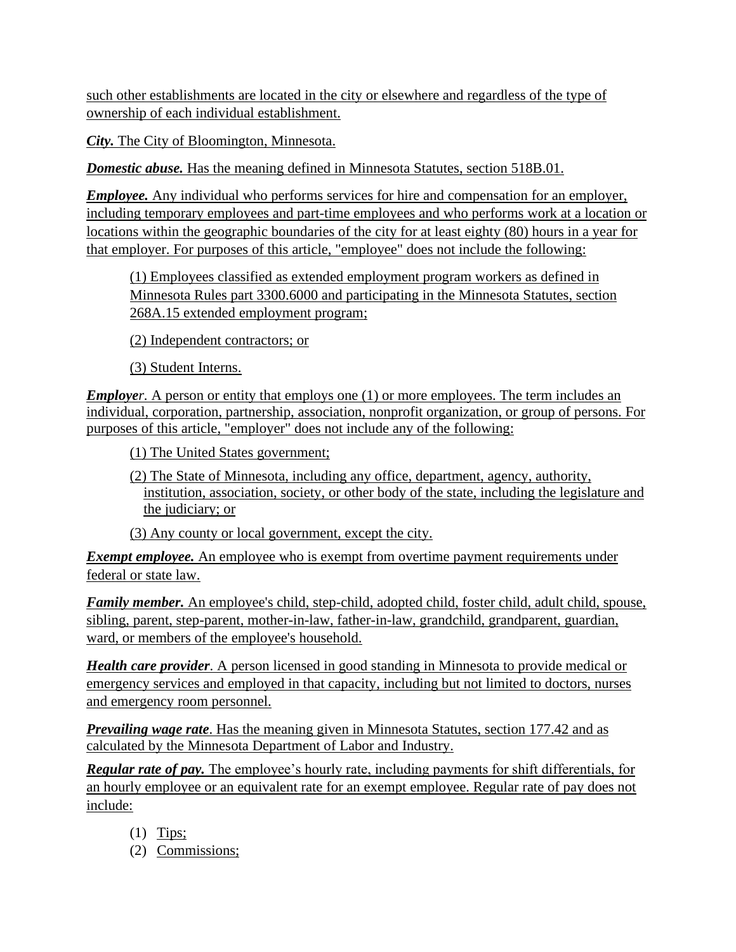such other establishments are located in the city or elsewhere and regardless of the type of ownership of each individual establishment.

*City.* The City of Bloomington, Minnesota.

*Domestic abuse.* Has the meaning defined in Minnesota Statutes, section 518B.01.

*Employee.* Any individual who performs services for hire and compensation for an employer, including temporary employees and part-time employees and who performs work at a location or locations within the geographic boundaries of the city for at least eighty (80) hours in a year for that employer. For purposes of this article, "employee" does not include the following:

(1) Employees classified as extended employment program workers as defined in Minnesota Rules part 3300.6000 and participating in the Minnesota Statutes, section 268A.15 extended employment program;

(2) Independent contractors; or

(3) Student Interns.

*Employer.* A person or entity that employs one (1) or more employees. The term includes an individual, corporation, partnership, association, nonprofit organization, or group of persons. For purposes of this article, "employer" does not include any of the following:

(1) The United States government;

- (2) The State of Minnesota, including any office, department, agency, authority, institution, association, society, or other body of the state, including the legislature and the judiciary; or
- (3) Any county or local government, except the city.

*Exempt employee.* An employee who is exempt from overtime payment requirements under federal or state law.

*Family member.* An employee's child, step-child, adopted child, foster child, adult child, spouse, sibling, parent, step-parent, mother-in-law, father-in-law, grandchild, grandparent, guardian, ward, or members of the employee's household.

*Health care provider*. A person licensed in good standing in Minnesota to provide medical or emergency services and employed in that capacity, including but not limited to doctors, nurses and emergency room personnel.

*Prevailing wage rate*. Has the meaning given in Minnesota Statutes, section 177.42 and as calculated by the Minnesota Department of Labor and Industry.

*Regular rate of pay.* The employee's hourly rate, including payments for shift differentials, for an hourly employee or an equivalent rate for an exempt employee. Regular rate of pay does not include:

- $(1)$  Tips;
- (2) Commissions;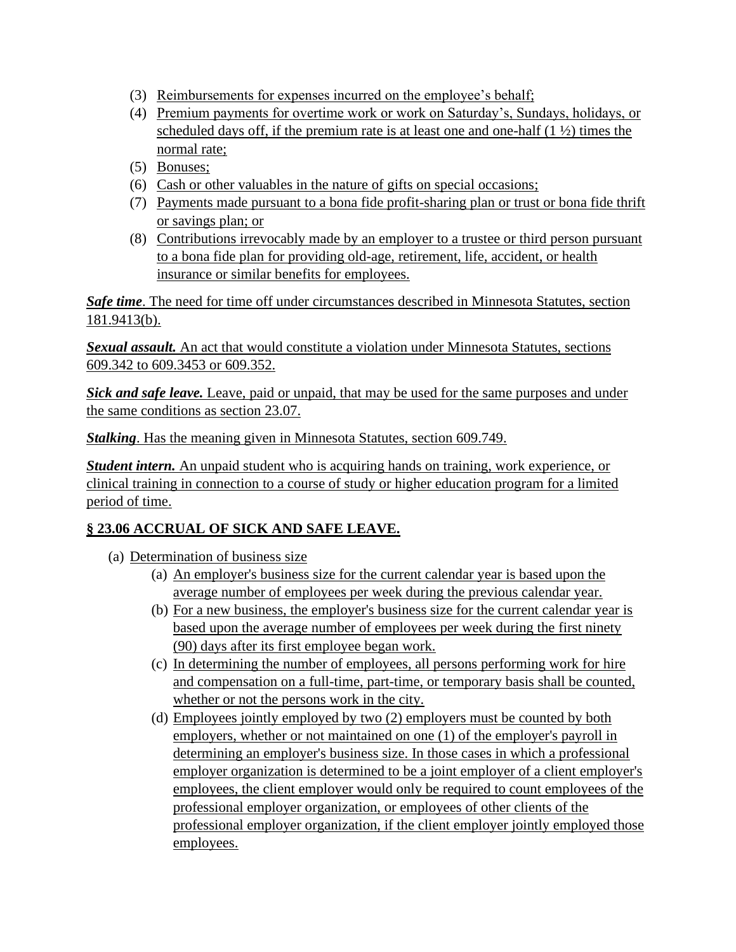- (3) Reimbursements for expenses incurred on the employee's behalf;
- (4) Premium payments for overtime work or work on Saturday's, Sundays, holidays, or scheduled days off, if the premium rate is at least one and one-half  $(1 \frac{1}{2})$  times the normal rate;
- (5) Bonuses;
- (6) Cash or other valuables in the nature of gifts on special occasions;
- (7) Payments made pursuant to a bona fide profit-sharing plan or trust or bona fide thrift or savings plan; or
- (8) Contributions irrevocably made by an employer to a trustee or third person pursuant to a bona fide plan for providing old-age, retirement, life, accident, or health insurance or similar benefits for employees.

*Safe time*. The need for time off under circumstances described in Minnesota Statutes, section 181.9413(b).

*Sexual assault.* An act that would constitute a violation under Minnesota Statutes, sections 609.342 to 609.3453 or 609.352.

*Sick and safe leave.* Leave, paid or unpaid, that may be used for the same purposes and under the same conditions as section 23.07.

*Stalking*. Has the meaning given in Minnesota Statutes, section 609.749.

*Student intern.* An unpaid student who is acquiring hands on training, work experience, or clinical training in connection to a course of study or higher education program for a limited period of time.

## **§ 23.06 ACCRUAL OF SICK AND SAFE LEAVE.**

- (a) Determination of business size
	- (a) An employer's business size for the current calendar year is based upon the average number of employees per week during the previous calendar year.
	- (b) For a new business, the employer's business size for the current calendar year is based upon the average number of employees per week during the first ninety (90) days after its first employee began work.
	- (c) In determining the number of employees, all persons performing work for hire and compensation on a full-time, part-time, or temporary basis shall be counted, whether or not the persons work in the city.
	- (d) Employees jointly employed by two (2) employers must be counted by both employers, whether or not maintained on one (1) of the employer's payroll in determining an employer's business size. In those cases in which a professional employer organization is determined to be a joint employer of a client employer's employees, the client employer would only be required to count employees of the professional employer organization, or employees of other clients of the professional employer organization, if the client employer jointly employed those employees.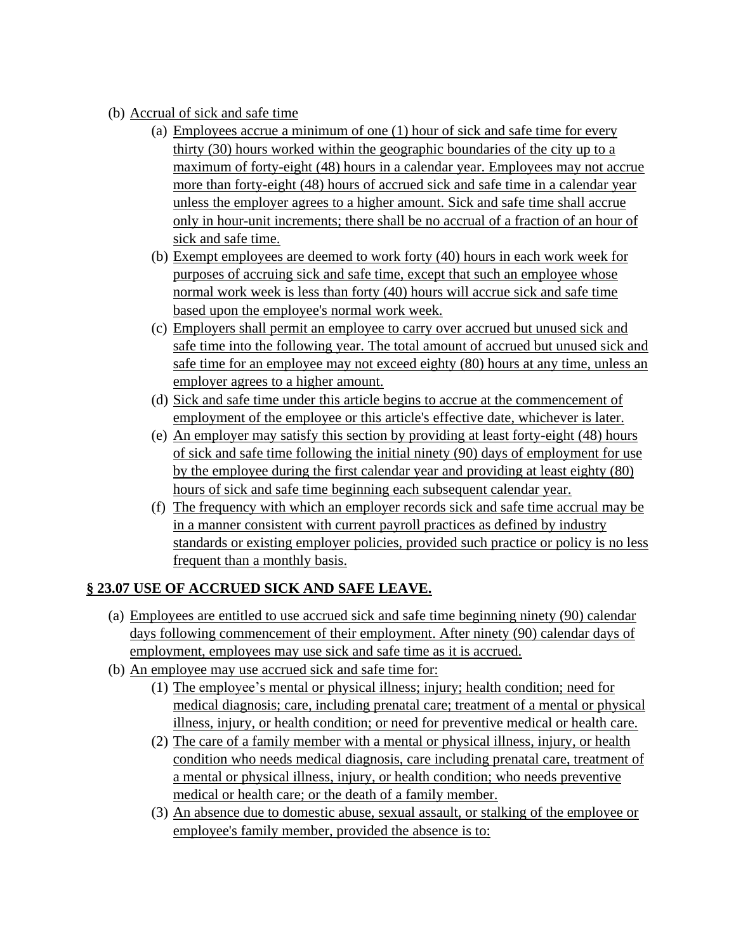- (b) Accrual of sick and safe time
	- (a) Employees accrue a minimum of one (1) hour of sick and safe time for every thirty (30) hours worked within the geographic boundaries of the city up to a maximum of forty-eight (48) hours in a calendar year. Employees may not accrue more than forty-eight (48) hours of accrued sick and safe time in a calendar year unless the employer agrees to a higher amount. Sick and safe time shall accrue only in hour-unit increments; there shall be no accrual of a fraction of an hour of sick and safe time.
	- (b) Exempt employees are deemed to work forty (40) hours in each work week for purposes of accruing sick and safe time, except that such an employee whose normal work week is less than forty (40) hours will accrue sick and safe time based upon the employee's normal work week.
	- (c) Employers shall permit an employee to carry over accrued but unused sick and safe time into the following year. The total amount of accrued but unused sick and safe time for an employee may not exceed eighty (80) hours at any time, unless an employer agrees to a higher amount.
	- (d) Sick and safe time under this article begins to accrue at the commencement of employment of the employee or this article's effective date, whichever is later.
	- (e) An employer may satisfy this section by providing at least forty-eight (48) hours of sick and safe time following the initial ninety (90) days of employment for use by the employee during the first calendar year and providing at least eighty (80) hours of sick and safe time beginning each subsequent calendar year.
	- (f) The frequency with which an employer records sick and safe time accrual may be in a manner consistent with current payroll practices as defined by industry standards or existing employer policies, provided such practice or policy is no less frequent than a monthly basis.

## **§ 23.07 USE OF ACCRUED SICK AND SAFE LEAVE.**

- (a) Employees are entitled to use accrued sick and safe time beginning ninety (90) calendar days following commencement of their employment. After ninety (90) calendar days of employment, employees may use sick and safe time as it is accrued.
- (b) An employee may use accrued sick and safe time for:
	- (1) The employee's mental or physical illness; injury; health condition; need for medical diagnosis; care, including prenatal care; treatment of a mental or physical illness, injury, or health condition; or need for preventive medical or health care.
	- (2) The care of a family member with a mental or physical illness, injury, or health condition who needs medical diagnosis, care including prenatal care, treatment of a mental or physical illness, injury, or health condition; who needs preventive medical or health care; or the death of a family member.
	- (3) An absence due to domestic abuse, sexual assault, or stalking of the employee or employee's family member, provided the absence is to: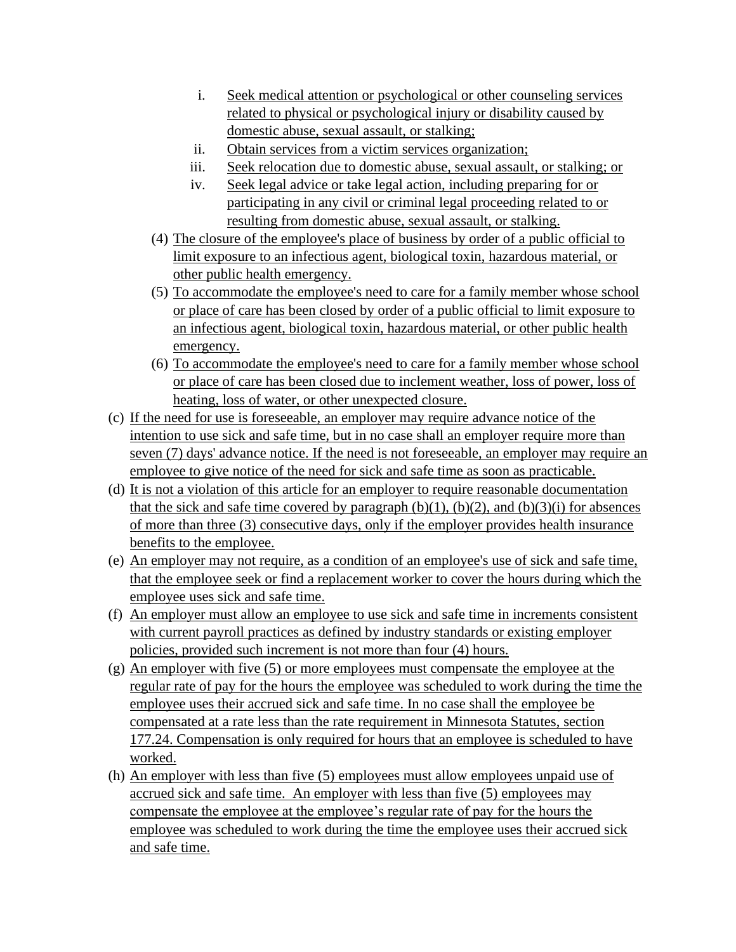- i. Seek medical attention or psychological or other counseling services related to physical or psychological injury or disability caused by domestic abuse, sexual assault, or stalking;
- ii. Obtain services from a victim services organization;
- iii. Seek relocation due to domestic abuse, sexual assault, or stalking; or
- iv. Seek legal advice or take legal action, including preparing for or participating in any civil or criminal legal proceeding related to or resulting from domestic abuse, sexual assault, or stalking.
- (4) The closure of the employee's place of business by order of a public official to limit exposure to an infectious agent, biological toxin, hazardous material, or other public health emergency.
- (5) To accommodate the employee's need to care for a family member whose school or place of care has been closed by order of a public official to limit exposure to an infectious agent, biological toxin, hazardous material, or other public health emergency.
- (6) To accommodate the employee's need to care for a family member whose school or place of care has been closed due to inclement weather, loss of power, loss of heating, loss of water, or other unexpected closure.
- (c) If the need for use is foreseeable, an employer may require advance notice of the intention to use sick and safe time, but in no case shall an employer require more than seven (7) days' advance notice. If the need is not foreseeable, an employer may require an employee to give notice of the need for sick and safe time as soon as practicable.
- (d) It is not a violation of this article for an employer to require reasonable documentation that the sick and safe time covered by paragraph  $(b)(1)$ ,  $(b)(2)$ , and  $(b)(3)(i)$  for absences of more than three (3) consecutive days, only if the employer provides health insurance benefits to the employee.
- (e) An employer may not require, as a condition of an employee's use of sick and safe time, that the employee seek or find a replacement worker to cover the hours during which the employee uses sick and safe time.
- (f) An employer must allow an employee to use sick and safe time in increments consistent with current payroll practices as defined by industry standards or existing employer policies, provided such increment is not more than four (4) hours.
- (g) An employer with five (5) or more employees must compensate the employee at the regular rate of pay for the hours the employee was scheduled to work during the time the employee uses their accrued sick and safe time. In no case shall the employee be compensated at a rate less than the rate requirement in Minnesota Statutes, section 177.24. Compensation is only required for hours that an employee is scheduled to have worked.
- (h) An employer with less than five (5) employees must allow employees unpaid use of accrued sick and safe time. An employer with less than five (5) employees may compensate the employee at the employee's regular rate of pay for the hours the employee was scheduled to work during the time the employee uses their accrued sick and safe time.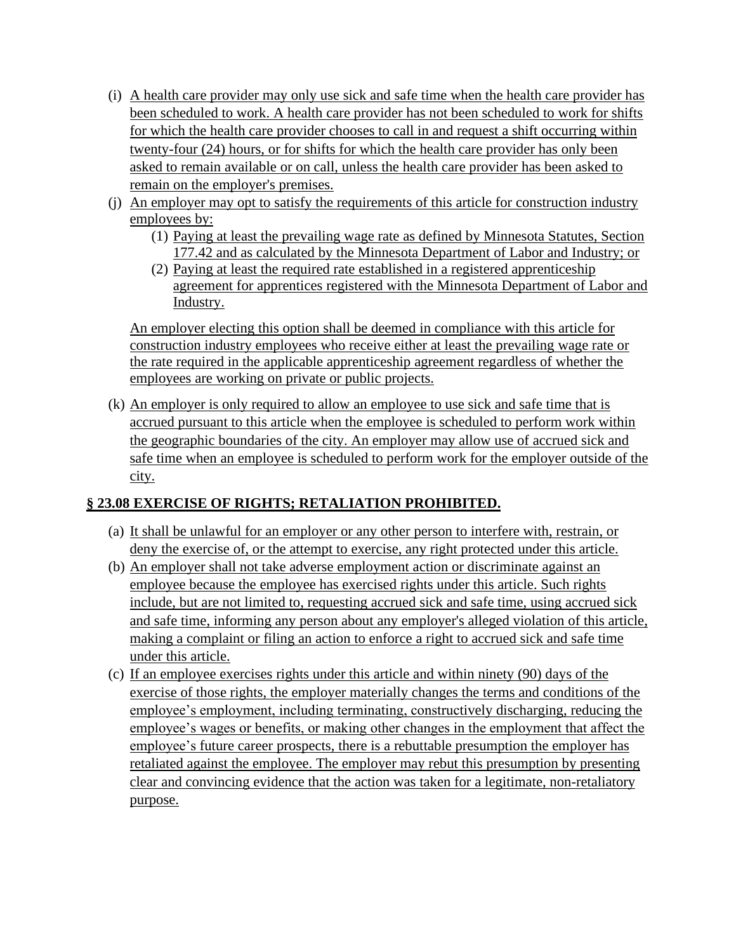- (i) A health care provider may only use sick and safe time when the health care provider has been scheduled to work. A health care provider has not been scheduled to work for shifts for which the health care provider chooses to call in and request a shift occurring within twenty-four (24) hours, or for shifts for which the health care provider has only been asked to remain available or on call, unless the health care provider has been asked to remain on the employer's premises.
- (j) An employer may opt to satisfy the requirements of this article for construction industry employees by:
	- (1) Paying at least the prevailing wage rate as defined by Minnesota Statutes, Section 177.42 and as calculated by the Minnesota Department of Labor and Industry; or
	- (2) Paying at least the required rate established in a registered apprenticeship agreement for apprentices registered with the Minnesota Department of Labor and Industry.

An employer electing this option shall be deemed in compliance with this article for construction industry employees who receive either at least the prevailing wage rate or the rate required in the applicable apprenticeship agreement regardless of whether the employees are working on private or public projects.

(k) An employer is only required to allow an employee to use sick and safe time that is accrued pursuant to this article when the employee is scheduled to perform work within the geographic boundaries of the city. An employer may allow use of accrued sick and safe time when an employee is scheduled to perform work for the employer outside of the city.

### **§ 23.08 EXERCISE OF RIGHTS; RETALIATION PROHIBITED.**

- (a) It shall be unlawful for an employer or any other person to interfere with, restrain, or deny the exercise of, or the attempt to exercise, any right protected under this article.
- (b) An employer shall not take adverse employment action or discriminate against an employee because the employee has exercised rights under this article. Such rights include, but are not limited to, requesting accrued sick and safe time, using accrued sick and safe time, informing any person about any employer's alleged violation of this article, making a complaint or filing an action to enforce a right to accrued sick and safe time under this article.
- (c) If an employee exercises rights under this article and within ninety (90) days of the exercise of those rights, the employer materially changes the terms and conditions of the employee's employment, including terminating, constructively discharging, reducing the employee's wages or benefits, or making other changes in the employment that affect the employee's future career prospects, there is a rebuttable presumption the employer has retaliated against the employee. The employer may rebut this presumption by presenting clear and convincing evidence that the action was taken for a legitimate, non-retaliatory purpose.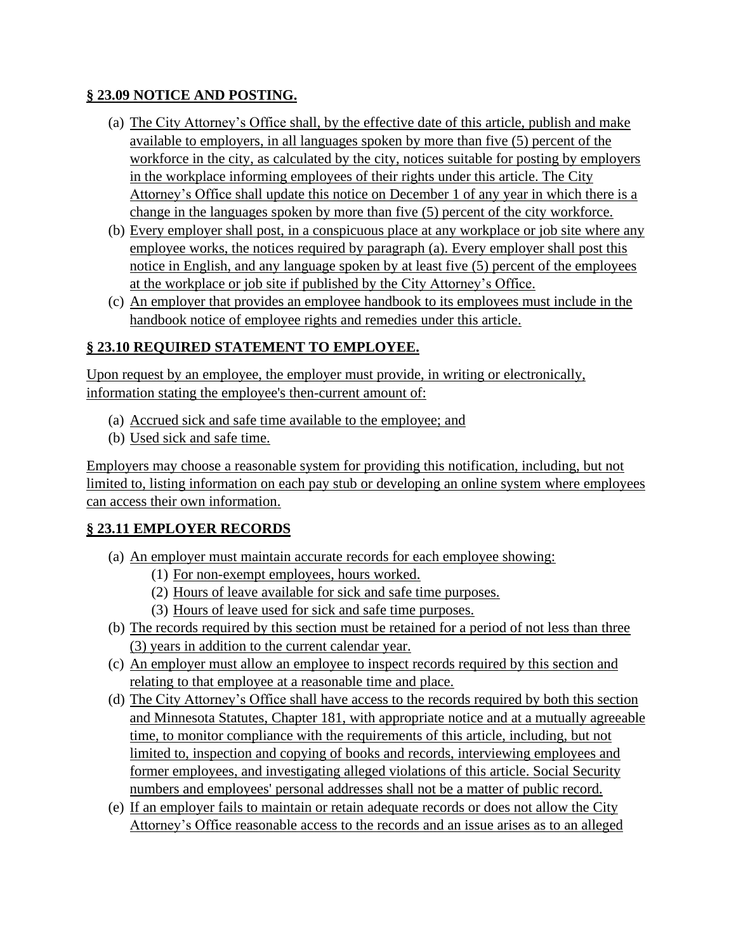#### **§ 23.09 NOTICE AND POSTING.**

- (a) The City Attorney's Office shall, by the effective date of this article, publish and make available to employers, in all languages spoken by more than five (5) percent of the workforce in the city, as calculated by the city, notices suitable for posting by employers in the workplace informing employees of their rights under this article. The City Attorney's Office shall update this notice on December 1 of any year in which there is a change in the languages spoken by more than five (5) percent of the city workforce.
- (b) Every employer shall post, in a conspicuous place at any workplace or job site where any employee works, the notices required by paragraph (a). Every employer shall post this notice in English, and any language spoken by at least five (5) percent of the employees at the workplace or job site if published by the City Attorney's Office.
- (c) An employer that provides an employee handbook to its employees must include in the handbook notice of employee rights and remedies under this article.

## **§ 23.10 REQUIRED STATEMENT TO EMPLOYEE.**

Upon request by an employee, the employer must provide, in writing or electronically, information stating the employee's then-current amount of:

- (a) Accrued sick and safe time available to the employee; and
- (b) Used sick and safe time.

Employers may choose a reasonable system for providing this notification, including, but not limited to, listing information on each pay stub or developing an online system where employees can access their own information.

### **§ 23.11 EMPLOYER RECORDS**

- (a) An employer must maintain accurate records for each employee showing:
	- (1) For non-exempt employees, hours worked.
	- (2) Hours of leave available for sick and safe time purposes.
	- (3) Hours of leave used for sick and safe time purposes.
- (b) The records required by this section must be retained for a period of not less than three (3) years in addition to the current calendar year.
- (c) An employer must allow an employee to inspect records required by this section and relating to that employee at a reasonable time and place.
- (d) The City Attorney's Office shall have access to the records required by both this section and Minnesota Statutes, Chapter 181, with appropriate notice and at a mutually agreeable time, to monitor compliance with the requirements of this article, including, but not limited to, inspection and copying of books and records, interviewing employees and former employees, and investigating alleged violations of this article. Social Security numbers and employees' personal addresses shall not be a matter of public record.
- (e) If an employer fails to maintain or retain adequate records or does not allow the City Attorney's Office reasonable access to the records and an issue arises as to an alleged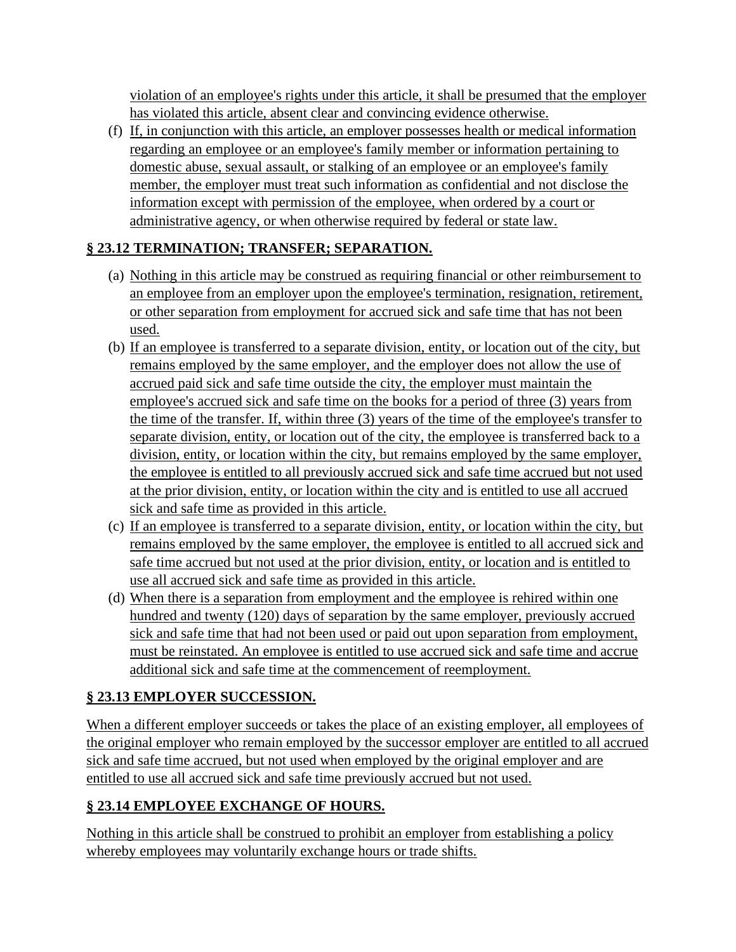violation of an employee's rights under this article, it shall be presumed that the employer has violated this article, absent clear and convincing evidence otherwise.

(f) If, in conjunction with this article, an employer possesses health or medical information regarding an employee or an employee's family member or information pertaining to domestic abuse, sexual assault, or stalking of an employee or an employee's family member, the employer must treat such information as confidential and not disclose the information except with permission of the employee, when ordered by a court or administrative agency, or when otherwise required by federal or state law.

# **§ 23.12 TERMINATION; TRANSFER; SEPARATION.**

- (a) Nothing in this article may be construed as requiring financial or other reimbursement to an employee from an employer upon the employee's termination, resignation, retirement, or other separation from employment for accrued sick and safe time that has not been used.
- (b) If an employee is transferred to a separate division, entity, or location out of the city, but remains employed by the same employer, and the employer does not allow the use of accrued paid sick and safe time outside the city, the employer must maintain the employee's accrued sick and safe time on the books for a period of three (3) years from the time of the transfer. If, within three (3) years of the time of the employee's transfer to separate division, entity, or location out of the city, the employee is transferred back to a division, entity, or location within the city, but remains employed by the same employer, the employee is entitled to all previously accrued sick and safe time accrued but not used at the prior division, entity, or location within the city and is entitled to use all accrued sick and safe time as provided in this article.
- (c) If an employee is transferred to a separate division, entity, or location within the city, but remains employed by the same employer, the employee is entitled to all accrued sick and safe time accrued but not used at the prior division, entity, or location and is entitled to use all accrued sick and safe time as provided in this article.
- (d) When there is a separation from employment and the employee is rehired within one hundred and twenty (120) days of separation by the same employer, previously accrued sick and safe time that had not been used or paid out upon separation from employment, must be reinstated. An employee is entitled to use accrued sick and safe time and accrue additional sick and safe time at the commencement of reemployment.

## **§ 23.13 EMPLOYER SUCCESSION.**

When a different employer succeeds or takes the place of an existing employer, all employees of the original employer who remain employed by the successor employer are entitled to all accrued sick and safe time accrued, but not used when employed by the original employer and are entitled to use all accrued sick and safe time previously accrued but not used.

# **§ 23.14 EMPLOYEE EXCHANGE OF HOURS.**

Nothing in this article shall be construed to prohibit an employer from establishing a policy whereby employees may voluntarily exchange hours or trade shifts.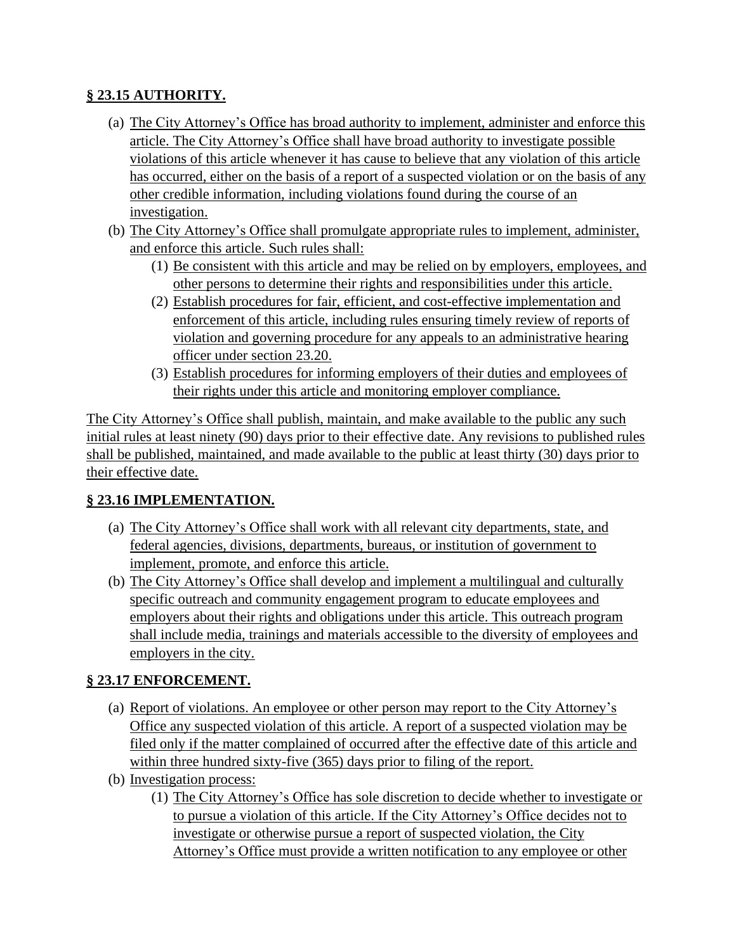## **§ 23.15 AUTHORITY.**

- (a) The City Attorney's Office has broad authority to implement, administer and enforce this article. The City Attorney's Office shall have broad authority to investigate possible violations of this article whenever it has cause to believe that any violation of this article has occurred, either on the basis of a report of a suspected violation or on the basis of any other credible information, including violations found during the course of an investigation.
- (b) The City Attorney's Office shall promulgate appropriate rules to implement, administer, and enforce this article. Such rules shall:
	- (1) Be consistent with this article and may be relied on by employers, employees, and other persons to determine their rights and responsibilities under this article.
	- (2) Establish procedures for fair, efficient, and cost-effective implementation and enforcement of this article, including rules ensuring timely review of reports of violation and governing procedure for any appeals to an administrative hearing officer under section 23.20.
	- (3) Establish procedures for informing employers of their duties and employees of their rights under this article and monitoring employer compliance.

The City Attorney's Office shall publish, maintain, and make available to the public any such initial rules at least ninety (90) days prior to their effective date. Any revisions to published rules shall be published, maintained, and made available to the public at least thirty (30) days prior to their effective date.

## **§ 23.16 IMPLEMENTATION.**

- (a) The City Attorney's Office shall work with all relevant city departments, state, and federal agencies, divisions, departments, bureaus, or institution of government to implement, promote, and enforce this article.
- (b) The City Attorney's Office shall develop and implement a multilingual and culturally specific outreach and community engagement program to educate employees and employers about their rights and obligations under this article. This outreach program shall include media, trainings and materials accessible to the diversity of employees and employers in the city.

## **§ 23.17 ENFORCEMENT.**

- (a) Report of violations. An employee or other person may report to the City Attorney's Office any suspected violation of this article. A report of a suspected violation may be filed only if the matter complained of occurred after the effective date of this article and within three hundred sixty-five (365) days prior to filing of the report.
- (b) Investigation process:
	- (1) The City Attorney's Office has sole discretion to decide whether to investigate or to pursue a violation of this article. If the City Attorney's Office decides not to investigate or otherwise pursue a report of suspected violation, the City Attorney's Office must provide a written notification to any employee or other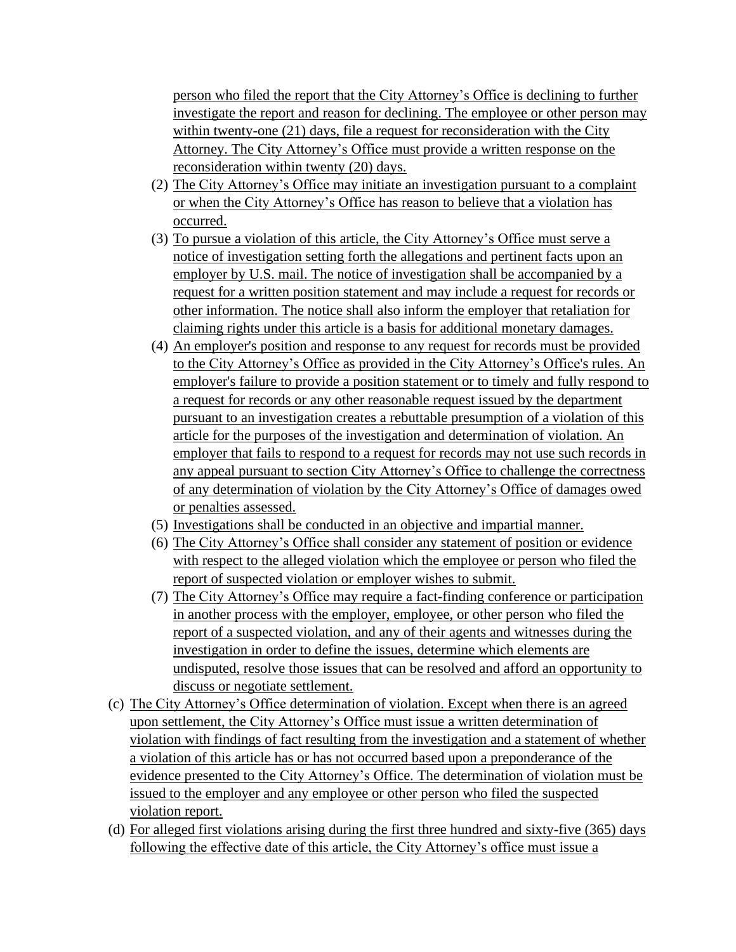person who filed the report that the City Attorney's Office is declining to further investigate the report and reason for declining. The employee or other person may within twenty-one (21) days, file a request for reconsideration with the City Attorney. The City Attorney's Office must provide a written response on the reconsideration within twenty (20) days.

- (2) The City Attorney's Office may initiate an investigation pursuant to a complaint or when the City Attorney's Office has reason to believe that a violation has occurred.
- (3) To pursue a violation of this article, the City Attorney's Office must serve a notice of investigation setting forth the allegations and pertinent facts upon an employer by U.S. mail. The notice of investigation shall be accompanied by a request for a written position statement and may include a request for records or other information. The notice shall also inform the employer that retaliation for claiming rights under this article is a basis for additional monetary damages.
- (4) An employer's position and response to any request for records must be provided to the City Attorney's Office as provided in the City Attorney's Office's rules. An employer's failure to provide a position statement or to timely and fully respond to a request for records or any other reasonable request issued by the department pursuant to an investigation creates a rebuttable presumption of a violation of this article for the purposes of the investigation and determination of violation. An employer that fails to respond to a request for records may not use such records in any appeal pursuant to section City Attorney's Office to challenge the correctness of any determination of violation by the City Attorney's Office of damages owed or penalties assessed.
- (5) Investigations shall be conducted in an objective and impartial manner.
- (6) The City Attorney's Office shall consider any statement of position or evidence with respect to the alleged violation which the employee or person who filed the report of suspected violation or employer wishes to submit.
- (7) The City Attorney's Office may require a fact-finding conference or participation in another process with the employer, employee, or other person who filed the report of a suspected violation, and any of their agents and witnesses during the investigation in order to define the issues, determine which elements are undisputed, resolve those issues that can be resolved and afford an opportunity to discuss or negotiate settlement.
- (c) The City Attorney's Office determination of violation. Except when there is an agreed upon settlement, the City Attorney's Office must issue a written determination of violation with findings of fact resulting from the investigation and a statement of whether a violation of this article has or has not occurred based upon a preponderance of the evidence presented to the City Attorney's Office. The determination of violation must be issued to the employer and any employee or other person who filed the suspected violation report.
- (d) For alleged first violations arising during the first three hundred and sixty-five (365) days following the effective date of this article, the City Attorney's office must issue a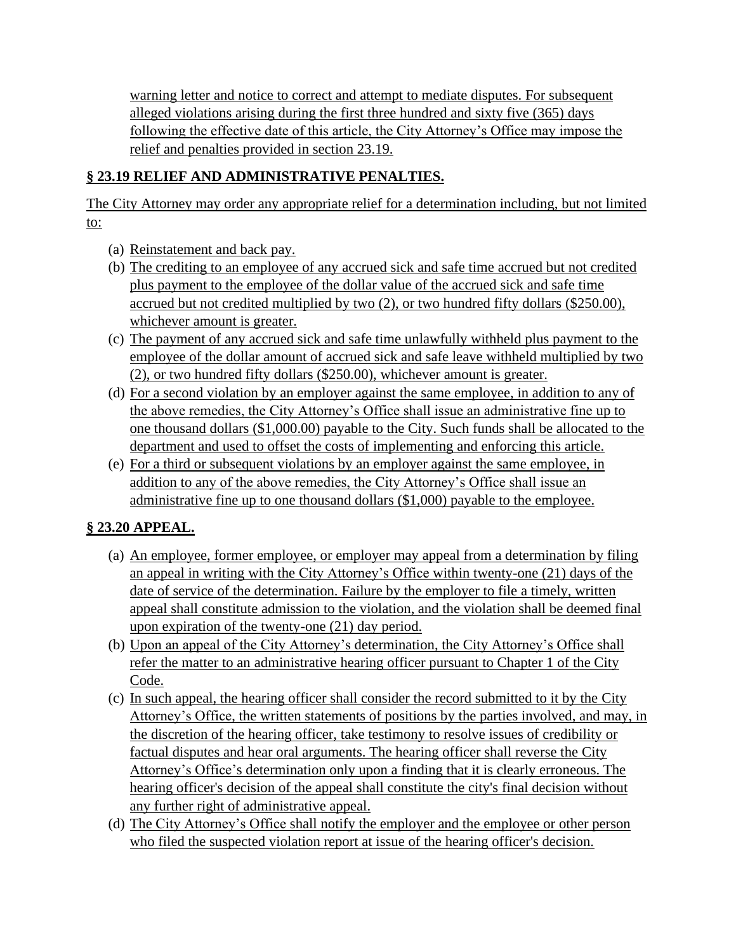warning letter and notice to correct and attempt to mediate disputes. For subsequent alleged violations arising during the first three hundred and sixty five (365) days following the effective date of this article, the City Attorney's Office may impose the relief and penalties provided in section 23.19.

## **§ 23.19 RELIEF AND ADMINISTRATIVE PENALTIES.**

The City Attorney may order any appropriate relief for a determination including, but not limited to:

- (a) Reinstatement and back pay.
- (b) The crediting to an employee of any accrued sick and safe time accrued but not credited plus payment to the employee of the dollar value of the accrued sick and safe time accrued but not credited multiplied by two (2), or two hundred fifty dollars (\$250.00), whichever amount is greater.
- (c) The payment of any accrued sick and safe time unlawfully withheld plus payment to the employee of the dollar amount of accrued sick and safe leave withheld multiplied by two (2), or two hundred fifty dollars (\$250.00), whichever amount is greater.
- (d) For a second violation by an employer against the same employee, in addition to any of the above remedies, the City Attorney's Office shall issue an administrative fine up to one thousand dollars (\$1,000.00) payable to the City. Such funds shall be allocated to the department and used to offset the costs of implementing and enforcing this article.
- (e) For a third or subsequent violations by an employer against the same employee, in addition to any of the above remedies, the City Attorney's Office shall issue an administrative fine up to one thousand dollars (\$1,000) payable to the employee.

## **§ 23.20 APPEAL.**

- (a) An employee, former employee, or employer may appeal from a determination by filing an appeal in writing with the City Attorney's Office within twenty-one (21) days of the date of service of the determination. Failure by the employer to file a timely, written appeal shall constitute admission to the violation, and the violation shall be deemed final upon expiration of the twenty-one (21) day period.
- (b) Upon an appeal of the City Attorney's determination, the City Attorney's Office shall refer the matter to an administrative hearing officer pursuant to Chapter 1 of the City Code.
- (c) In such appeal, the hearing officer shall consider the record submitted to it by the City Attorney's Office, the written statements of positions by the parties involved, and may, in the discretion of the hearing officer, take testimony to resolve issues of credibility or factual disputes and hear oral arguments. The hearing officer shall reverse the City Attorney's Office's determination only upon a finding that it is clearly erroneous. The hearing officer's decision of the appeal shall constitute the city's final decision without any further right of administrative appeal.
- (d) The City Attorney's Office shall notify the employer and the employee or other person who filed the suspected violation report at issue of the hearing officer's decision.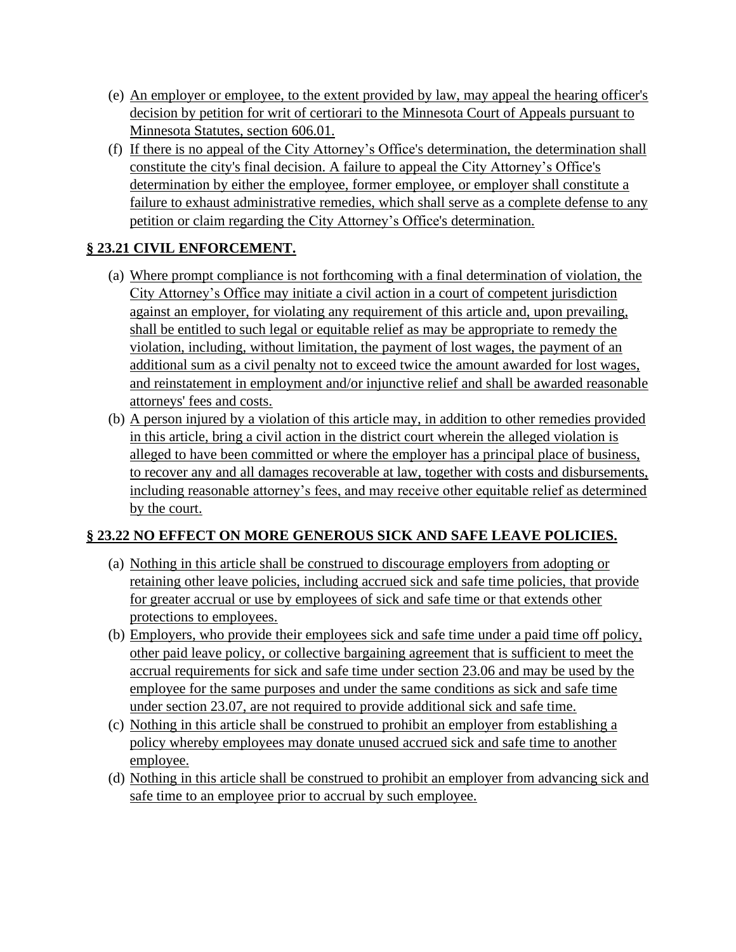- (e) An employer or employee, to the extent provided by law, may appeal the hearing officer's decision by petition for writ of certiorari to the Minnesota Court of Appeals pursuant to Minnesota Statutes, section 606.01.
- (f) If there is no appeal of the City Attorney's Office's determination, the determination shall constitute the city's final decision. A failure to appeal the City Attorney's Office's determination by either the employee, former employee, or employer shall constitute a failure to exhaust administrative remedies, which shall serve as a complete defense to any petition or claim regarding the City Attorney's Office's determination.

# **§ 23.21 CIVIL ENFORCEMENT.**

- (a) Where prompt compliance is not forthcoming with a final determination of violation, the City Attorney's Office may initiate a civil action in a court of competent jurisdiction against an employer, for violating any requirement of this article and, upon prevailing, shall be entitled to such legal or equitable relief as may be appropriate to remedy the violation, including, without limitation, the payment of lost wages, the payment of an additional sum as a civil penalty not to exceed twice the amount awarded for lost wages, and reinstatement in employment and/or injunctive relief and shall be awarded reasonable attorneys' fees and costs.
- (b) A person injured by a violation of this article may, in addition to other remedies provided in this article, bring a civil action in the district court wherein the alleged violation is alleged to have been committed or where the employer has a principal place of business, to recover any and all damages recoverable at law, together with costs and disbursements, including reasonable attorney's fees, and may receive other equitable relief as determined by the court.

## **§ 23.22 NO EFFECT ON MORE GENEROUS SICK AND SAFE LEAVE POLICIES.**

- (a) Nothing in this article shall be construed to discourage employers from adopting or retaining other leave policies, including accrued sick and safe time policies, that provide for greater accrual or use by employees of sick and safe time or that extends other protections to employees.
- (b) Employers, who provide their employees sick and safe time under a paid time off policy, other paid leave policy, or collective bargaining agreement that is sufficient to meet the accrual requirements for sick and safe time under section 23.06 and may be used by the employee for the same purposes and under the same conditions as sick and safe time under section 23.07, are not required to provide additional sick and safe time.
- (c) Nothing in this article shall be construed to prohibit an employer from establishing a policy whereby employees may donate unused accrued sick and safe time to another employee.
- (d) Nothing in this article shall be construed to prohibit an employer from advancing sick and safe time to an employee prior to accrual by such employee.